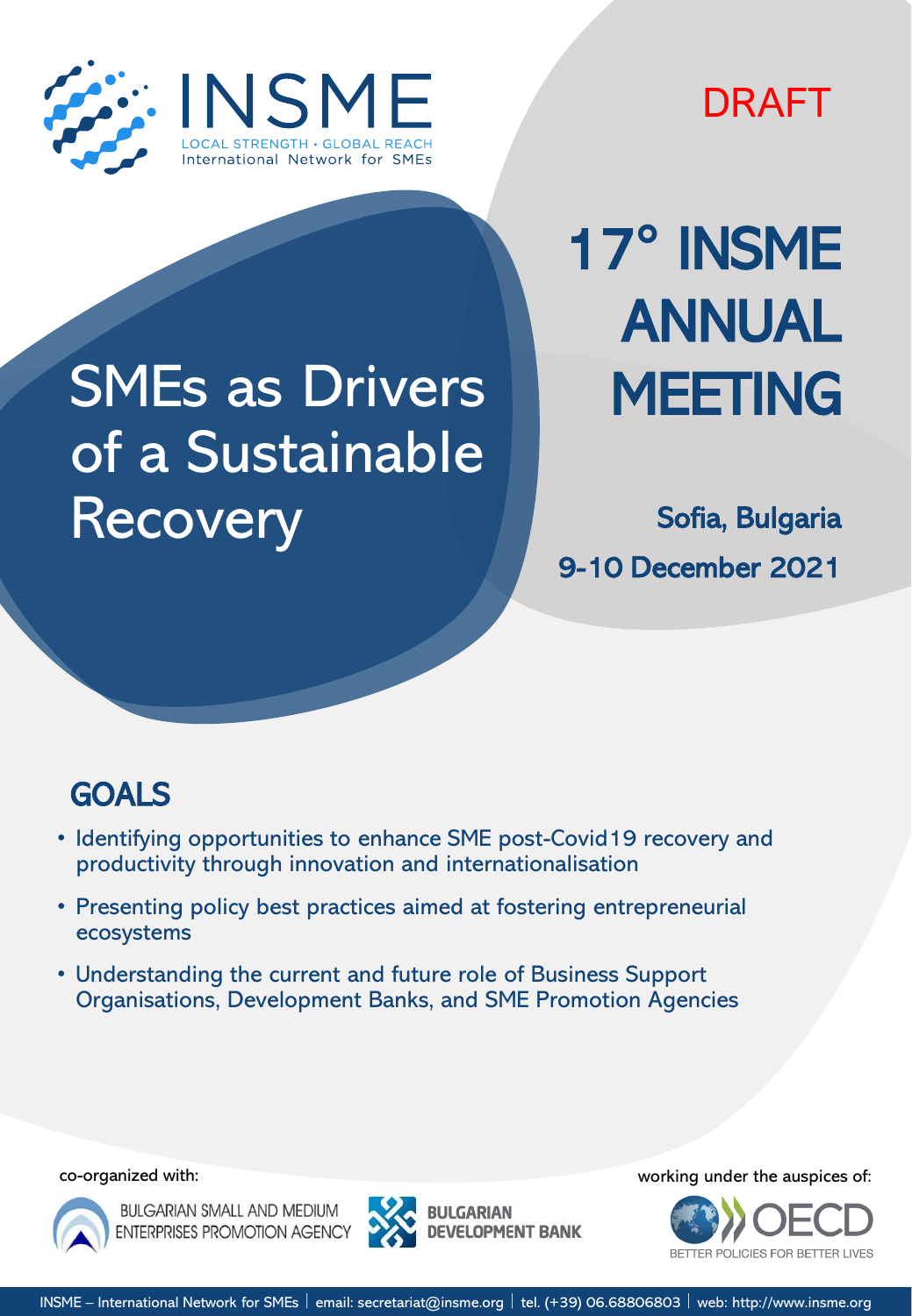

DRAFT

# SMEs as Drivers of a Sustainable Recovery Sofia, Bulgaria

17**°** INSME ANNUAL MEETING

9-10 December 2021

## GOALS

- Identifying opportunities to enhance SME post-Covid19 recovery and productivity through innovation and internationalisation
- Presenting policy best practices aimed at fostering entrepreneurial ecosystems
- Understanding the current and future role of Business Support Organisations, Development Banks, and SME Promotion Agencies



**BULGARIAN SMALL AND MEDIUM ENTERPRISES PROMOTION AGENCY** 



co-organized with: working under the auspices of:

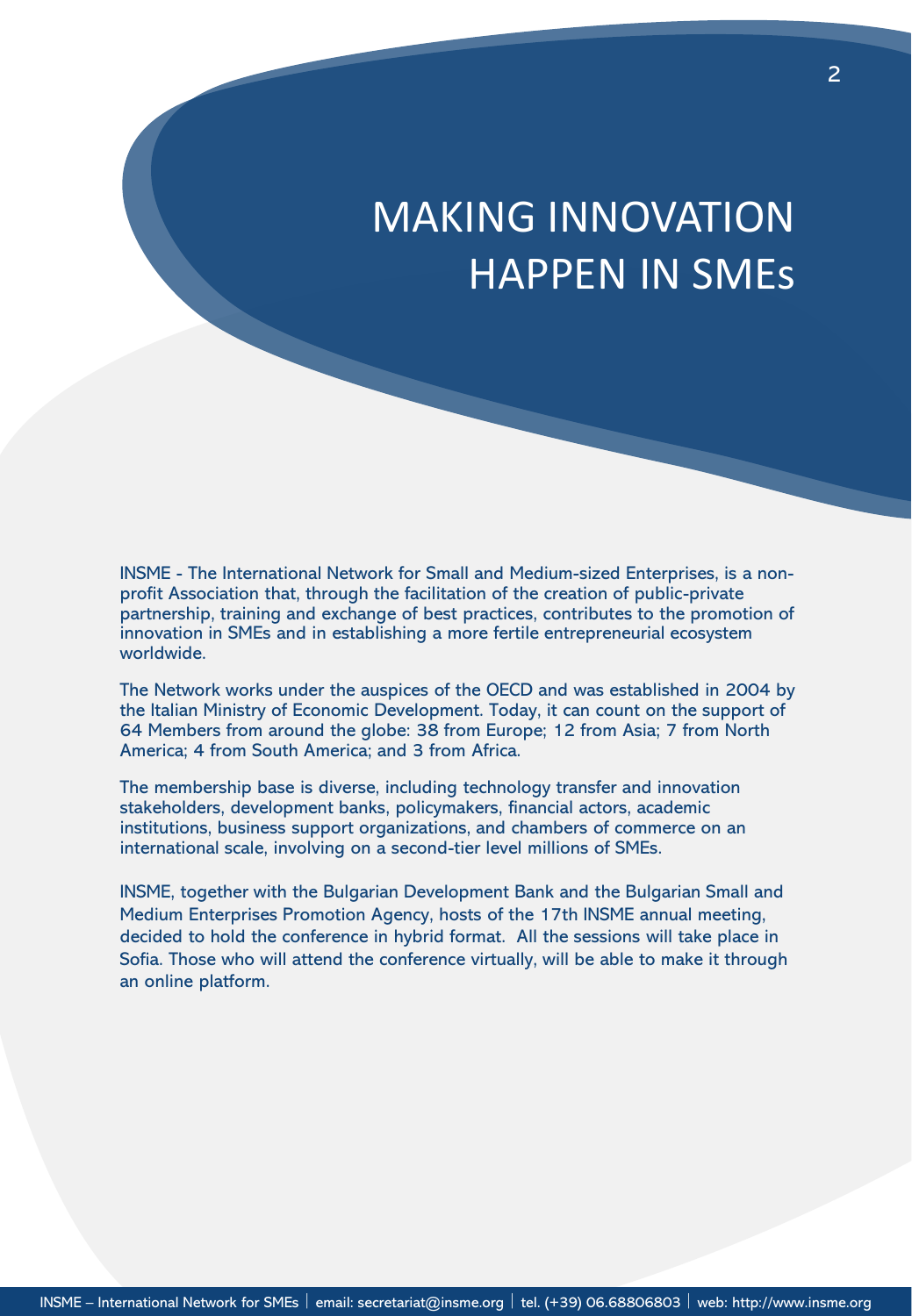## MAKING INNOVATION HAPPEN IN SMEs

INSME - The International Network for Small and Medium-sized Enterprises, is a nonprofit Association that, through the facilitation of the creation of public-private partnership, training and exchange of best practices, contributes to the promotion of innovation in SMEs and in establishing a more fertile entrepreneurial ecosystem worldwide.

The Network works under the auspices of the OECD and was established in 2004 by the Italian Ministry of Economic Development. Today, it can count on the support of 64 Members from around the globe: 38 from Europe; 12 from Asia; 7 from North America; 4 from South America; and 3 from Africa.

The membership base is diverse, including technology transfer and innovation stakeholders, development banks, policymakers, financial actors, academic institutions, business support organizations, and chambers of commerce on an international scale, involving on a second-tier level millions of SMEs.

INSME, together with the Bulgarian Development Bank and the Bulgarian Small and Medium Enterprises Promotion Agency, hosts of the 17th INSME annual meeting, decided to hold the conference in hybrid format. All the sessions will take place in Sofia. Those who will attend the conference virtually, will be able to make it through an online platform.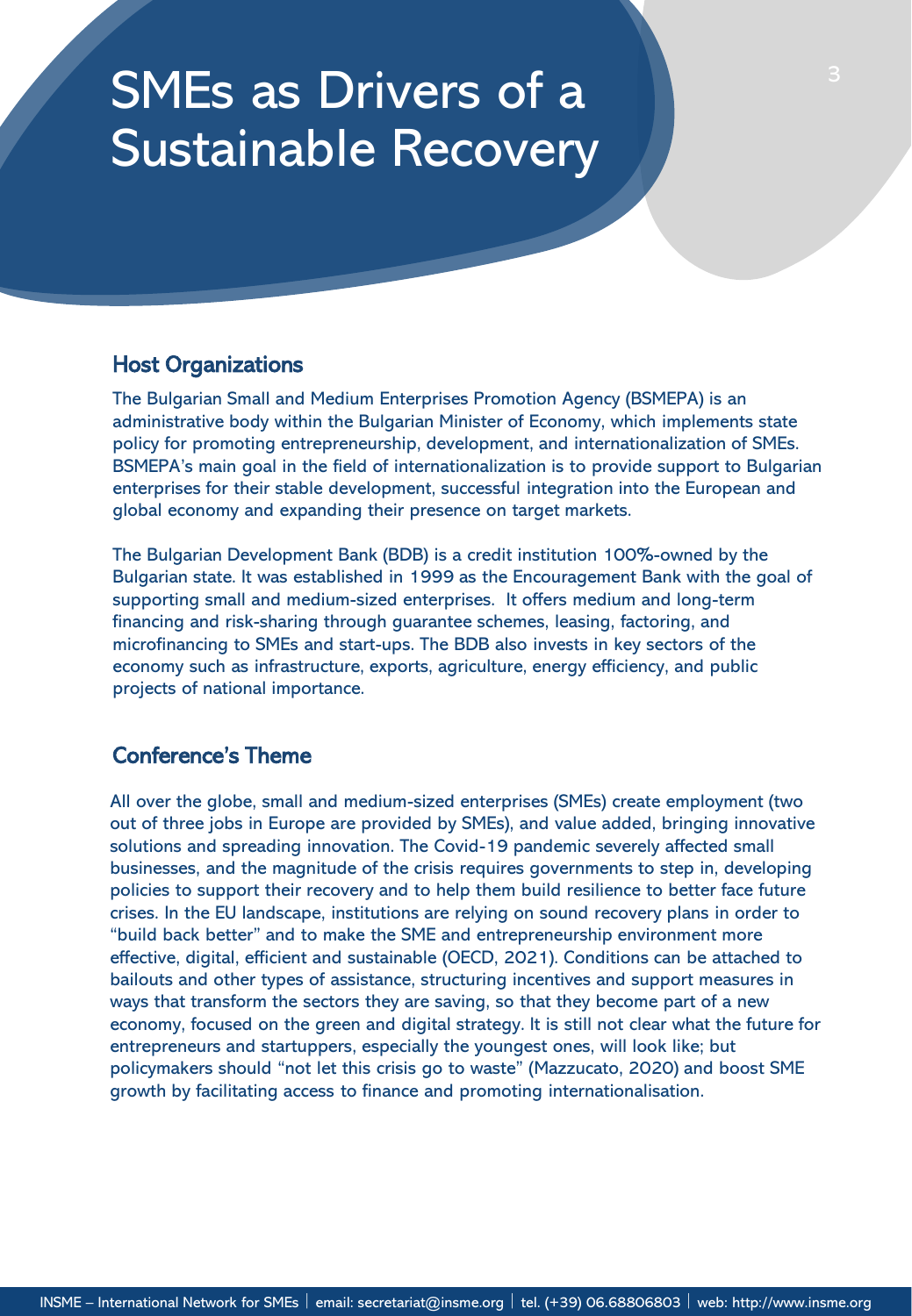## SMEs as Drivers of a Sustainable Recovery

### Host Organizations

The Bulgarian Small and Medium Enterprises Promotion Agency (BSMEPA) is an administrative body within the Bulgarian Minister of Economy, which implements state policy for promoting entrepreneurship, development, and internationalization of SMEs. BSMEPA's main goal in the field of internationalization is to provide support to Bulgarian enterprises for their stable development, successful integration into the European and global economy and expanding their presence on target markets.

The Bulgarian Development Bank (BDB) is a credit institution 100%-owned by the Bulgarian state. It was established in 1999 as the Encouragement Bank with the goal of supporting small and medium-sized enterprises. It offers medium and long-term financing and risk-sharing through guarantee schemes, leasing, factoring, and microfinancing to SMEs and start-ups. The BDB also invests in key sectors of the economy such as infrastructure, exports, agriculture, energy efficiency, and public projects of national importance.

### Conference's Theme

All over the globe, small and medium-sized enterprises (SMEs) create employment (two out of three jobs in Europe are provided by SMEs), and value added, bringing innovative solutions and spreading innovation. The Covid-19 pandemic severely affected small businesses, and the magnitude of the crisis requires governments to step in, developing policies to support their recovery and to help them build resilience to better face future crises. In the EU landscape, institutions are relying on sound recovery plans in order to "build back better" and to make the SME and entrepreneurship environment more effective, digital, efficient and sustainable (OECD, 2021). Conditions can be attached to bailouts and other types of assistance, structuring incentives and support measures in ways that transform the sectors they are saving, so that they become part of a new economy, focused on the green and digital strategy. It is still not clear what the future for entrepreneurs and startuppers, especially the youngest ones, will look like; but policymakers should "not let this crisis go to waste" (Mazzucato, 2020) and boost SME growth by facilitating access to finance and promoting internationalisation.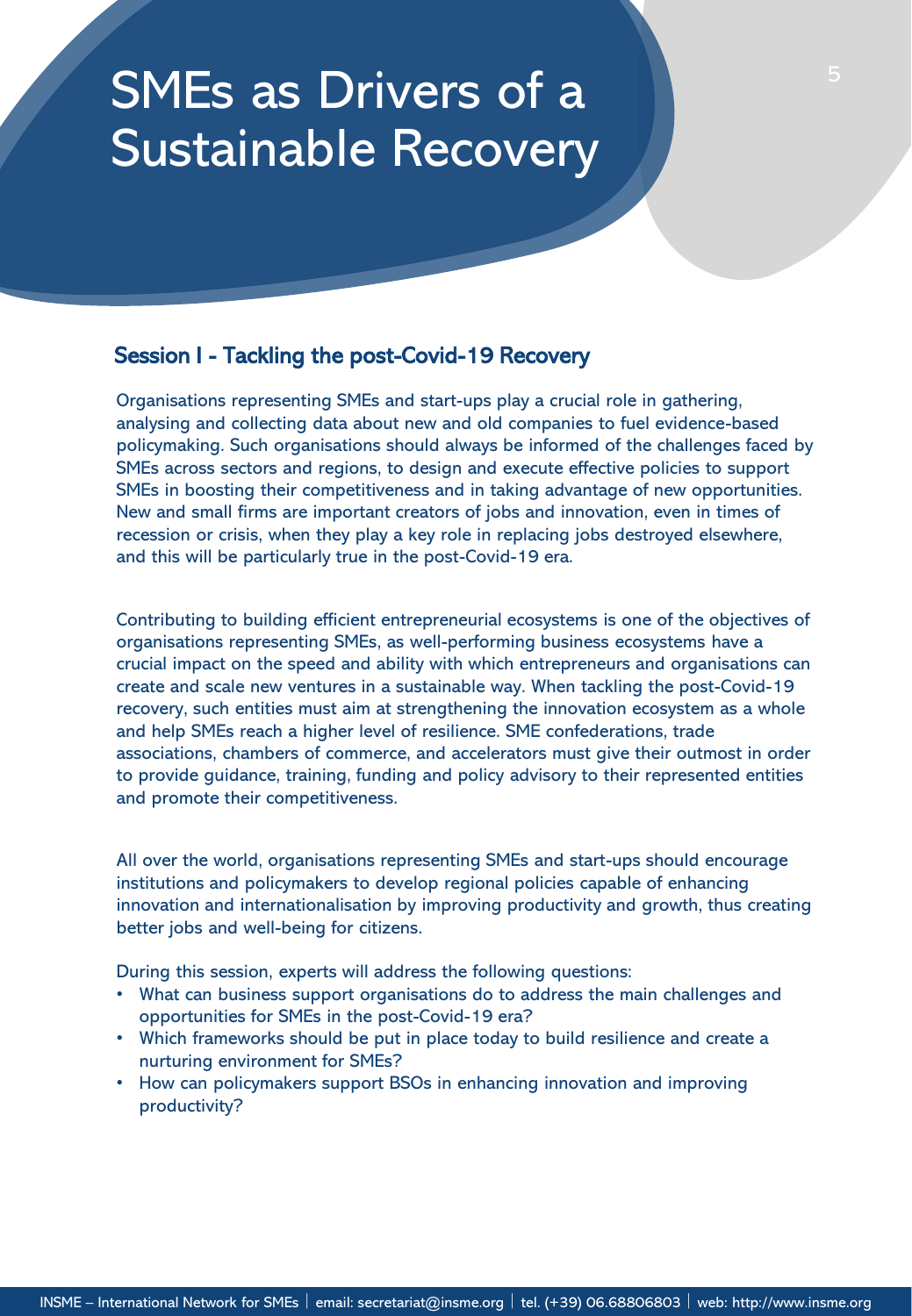## SMEs as Drivers of a Sustainable Recovery

### Session I - Tackling the post-Covid-19 Recovery

Organisations representing SMEs and start-ups play a crucial role in gathering, analysing and collecting data about new and old companies to fuel evidence-based policymaking. Such organisations should always be informed of the challenges faced by SMEs across sectors and regions, to design and execute effective policies to support SMEs in boosting their competitiveness and in taking advantage of new opportunities. New and small firms are important creators of jobs and innovation, even in times of recession or crisis, when they play a key role in replacing jobs destroyed elsewhere, and this will be particularly true in the post-Covid-19 era.

Contributing to building efficient entrepreneurial ecosystems is one of the objectives of organisations representing SMEs, as well-performing business ecosystems have a crucial impact on the speed and ability with which entrepreneurs and organisations can create and scale new ventures in a sustainable way. When tackling the post-Covid-19 recovery, such entities must aim at strengthening the innovation ecosystem as a whole and help SMEs reach a higher level of resilience. SME confederations, trade associations, chambers of commerce, and accelerators must give their outmost in order to provide guidance, training, funding and policy advisory to their represented entities and promote their competitiveness.

All over the world, organisations representing SMEs and start-ups should encourage institutions and policymakers to develop regional policies capable of enhancing innovation and internationalisation by improving productivity and growth, thus creating better jobs and well-being for citizens.

During this session, experts will address the following questions:

- What can business support organisations do to address the main challenges and opportunities for SMEs in the post-Covid-19 era?
- Which frameworks should be put in place today to build resilience and create a nurturing environment for SMEs?
- How can policymakers support BSOs in enhancing innovation and improving productivity?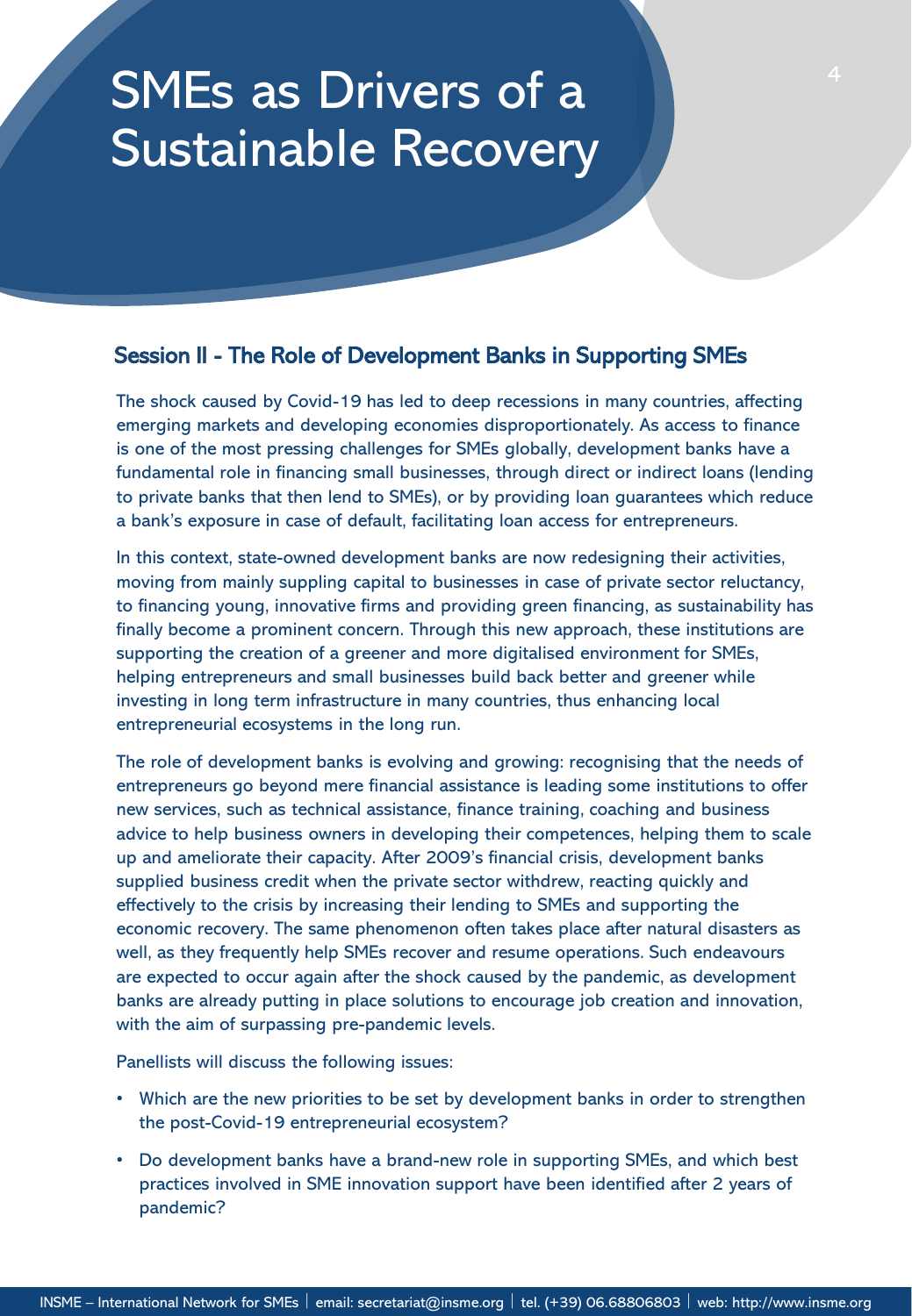## SMEs as Drivers of a Sustainable Recovery

### Session II - The Role of Development Banks in Supporting SMEs

The shock caused by Covid-19 has led to deep recessions in many countries, affecting emerging markets and developing economies disproportionately. As access to finance is one of the most pressing challenges for SMEs globally, development banks have a fundamental role in financing small businesses, through direct or indirect loans (lending to private banks that then lend to SMEs), or by providing loan guarantees which reduce a bank's exposure in case of default, facilitating loan access for entrepreneurs.

In this context, state-owned development banks are now redesigning their activities, moving from mainly suppling capital to businesses in case of private sector reluctancy, to financing young, innovative firms and providing green financing, as sustainability has finally become a prominent concern. Through this new approach, these institutions are supporting the creation of a greener and more digitalised environment for SMEs, helping entrepreneurs and small businesses build back better and greener while investing in long term infrastructure in many countries, thus enhancing local entrepreneurial ecosystems in the long run.

The role of development banks is evolving and growing: recognising that the needs of entrepreneurs go beyond mere financial assistance is leading some institutions to offer new services, such as technical assistance, finance training, coaching and business advice to help business owners in developing their competences, helping them to scale up and ameliorate their capacity. After 2009's financial crisis, development banks supplied business credit when the private sector withdrew, reacting quickly and effectively to the crisis by increasing their lending to SMEs and supporting the economic recovery. The same phenomenon often takes place after natural disasters as well, as they frequently help SMEs recover and resume operations. Such endeavours are expected to occur again after the shock caused by the pandemic, as development banks are already putting in place solutions to encourage job creation and innovation, with the aim of surpassing pre-pandemic levels.

Panellists will discuss the following issues:

- Which are the new priorities to be set by development banks in order to strengthen the post-Covid-19 entrepreneurial ecosystem?
- Do development banks have a brand-new role in supporting SMEs, and which best practices involved in SME innovation support have been identified after 2 years of pandemic?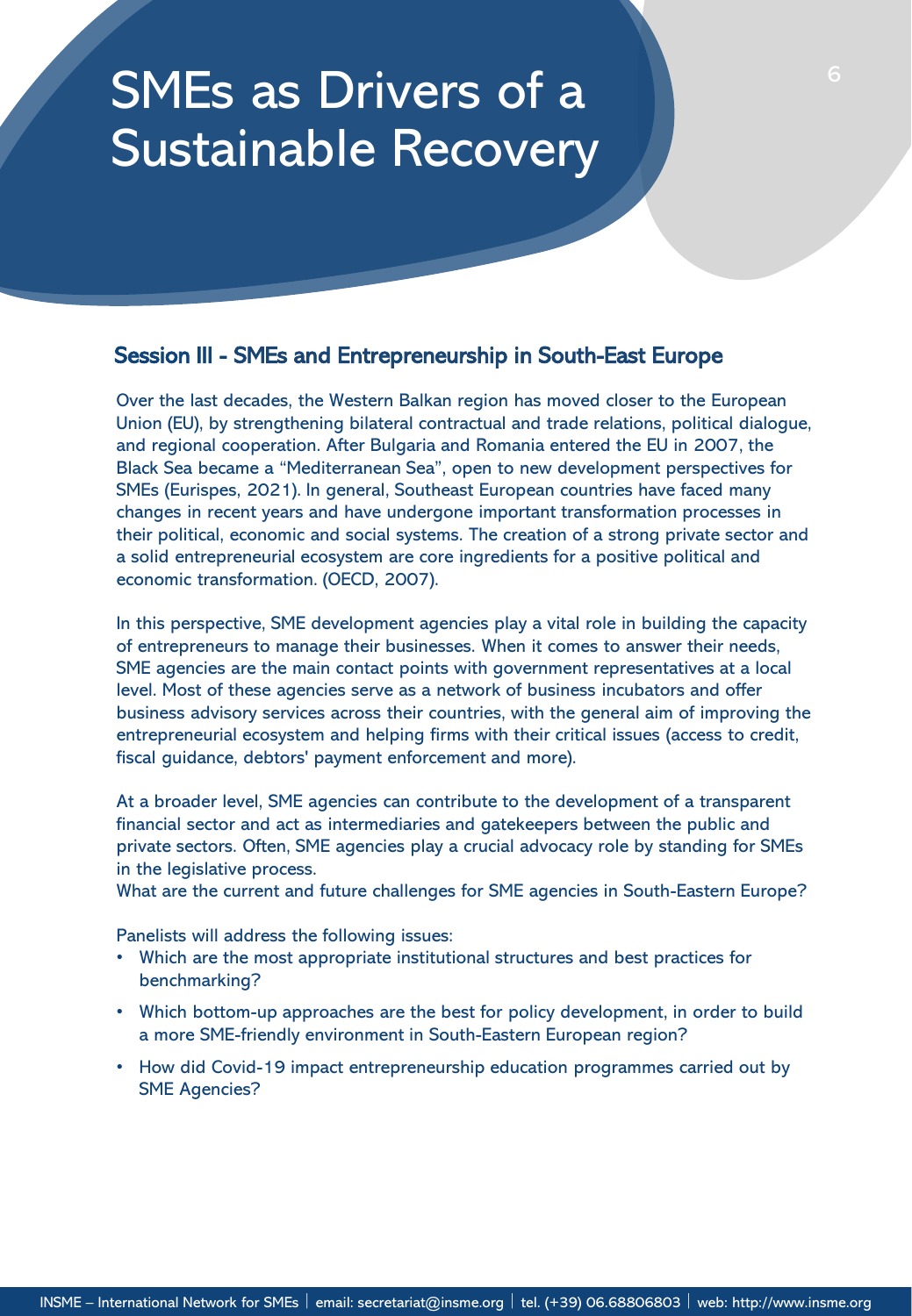## SMEs as Drivers of a Sustainable Recovery

### Session III - SMEs and Entrepreneurship in South-East Europe

Over the last decades, the Western Balkan region has moved closer to the European Union (EU), by strengthening bilateral contractual and trade relations, political dialogue, and regional cooperation. After Bulgaria and Romania entered the EU in 2007, the Black Sea became a "Mediterranean Sea", open to new development perspectives for SMEs (Eurispes, 2021). In general, Southeast European countries have faced many changes in recent years and have undergone important transformation processes in their political, economic and social systems. The creation of a strong private sector and a solid entrepreneurial ecosystem are core ingredients for a positive political and economic transformation. (OECD, 2007).

In this perspective, SME development agencies play a vital role in building the capacity of entrepreneurs to manage their businesses. When it comes to answer their needs, SME agencies are the main contact points with government representatives at a local level. Most of these agencies serve as a network of business incubators and offer business advisory services across their countries, with the general aim of improving the entrepreneurial ecosystem and helping firms with their critical issues (access to credit, fiscal guidance, debtors' payment enforcement and more).

At a broader level, SME agencies can contribute to the development of a transparent financial sector and act as intermediaries and gatekeepers between the public and private sectors. Often, SME agencies play a crucial advocacy role by standing for SMEs in the legislative process.

What are the current and future challenges for SME agencies in South-Eastern Europe?

Panelists will address the following issues:

- Which are the most appropriate institutional structures and best practices for benchmarking?
- Which bottom-up approaches are the best for policy development, in order to build a more SME-friendly environment in South-Eastern European region?
- How did Covid-19 impact entrepreneurship education programmes carried out by SME Agencies?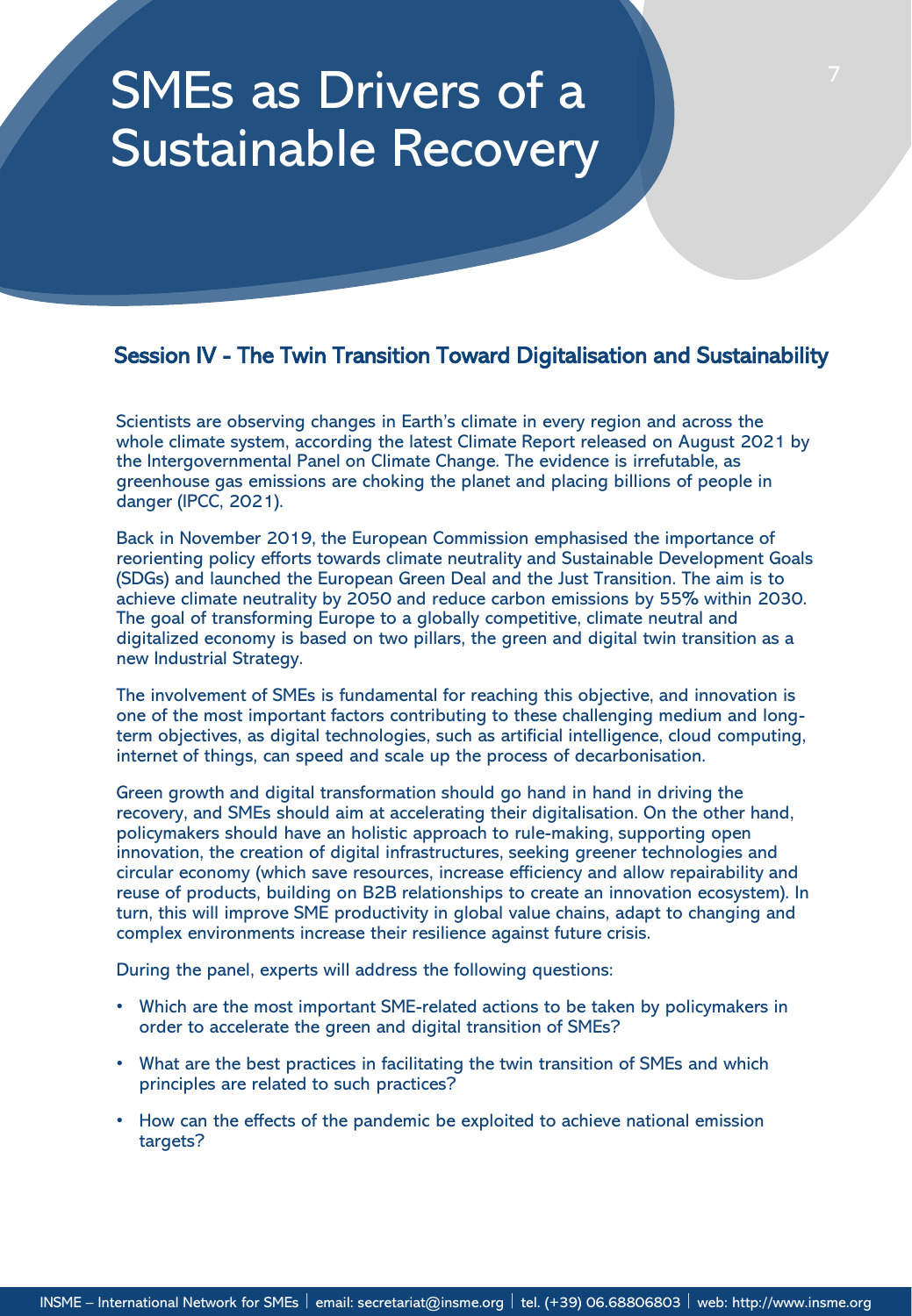## SMEs as Drivers of a Sustainable Recovery

### Session IV - The Twin Transition Toward Digitalisation and Sustainability

Scientists are observing changes in Earth's climate in every region and across the whole climate system, according the latest Climate Report released on August 2021 by the Intergovernmental Panel on Climate Change. The evidence is irrefutable, as greenhouse gas emissions are choking the planet and placing billions of people in danger (IPCC, 2021).

Back in November 2019, the European Commission emphasised the importance of reorienting policy efforts towards climate neutrality and Sustainable Development Goals (SDGs) and launched the European Green Deal and the Just Transition. The aim is to achieve climate neutrality by 2050 and reduce carbon emissions by 55% within 2030. The goal of transforming Europe to a globally competitive, climate neutral and digitalized economy is based on two pillars, the green and digital twin transition as a new Industrial Strategy.

The involvement of SMEs is fundamental for reaching this objective, and innovation is one of the most important factors contributing to these challenging medium and longterm objectives, as digital technologies, such as artificial intelligence, cloud computing, internet of things, can speed and scale up the process of decarbonisation.

Green growth and digital transformation should go hand in hand in driving the recovery, and SMEs should aim at accelerating their digitalisation. On the other hand, policymakers should have an holistic approach to rule-making, supporting open innovation, the creation of digital infrastructures, seeking greener technologies and circular economy (which save resources, increase efficiency and allow repairability and reuse of products, building on B2B relationships to create an innovation ecosystem). In turn, this will improve SME productivity in global value chains, adapt to changing and complex environments increase their resilience against future crisis.

During the panel, experts will address the following questions:

- Which are the most important SME-related actions to be taken by policymakers in order to accelerate the green and digital transition of SMEs?
- What are the best practices in facilitating the twin transition of SMEs and which principles are related to such practices?
- How can the effects of the pandemic be exploited to achieve national emission targets?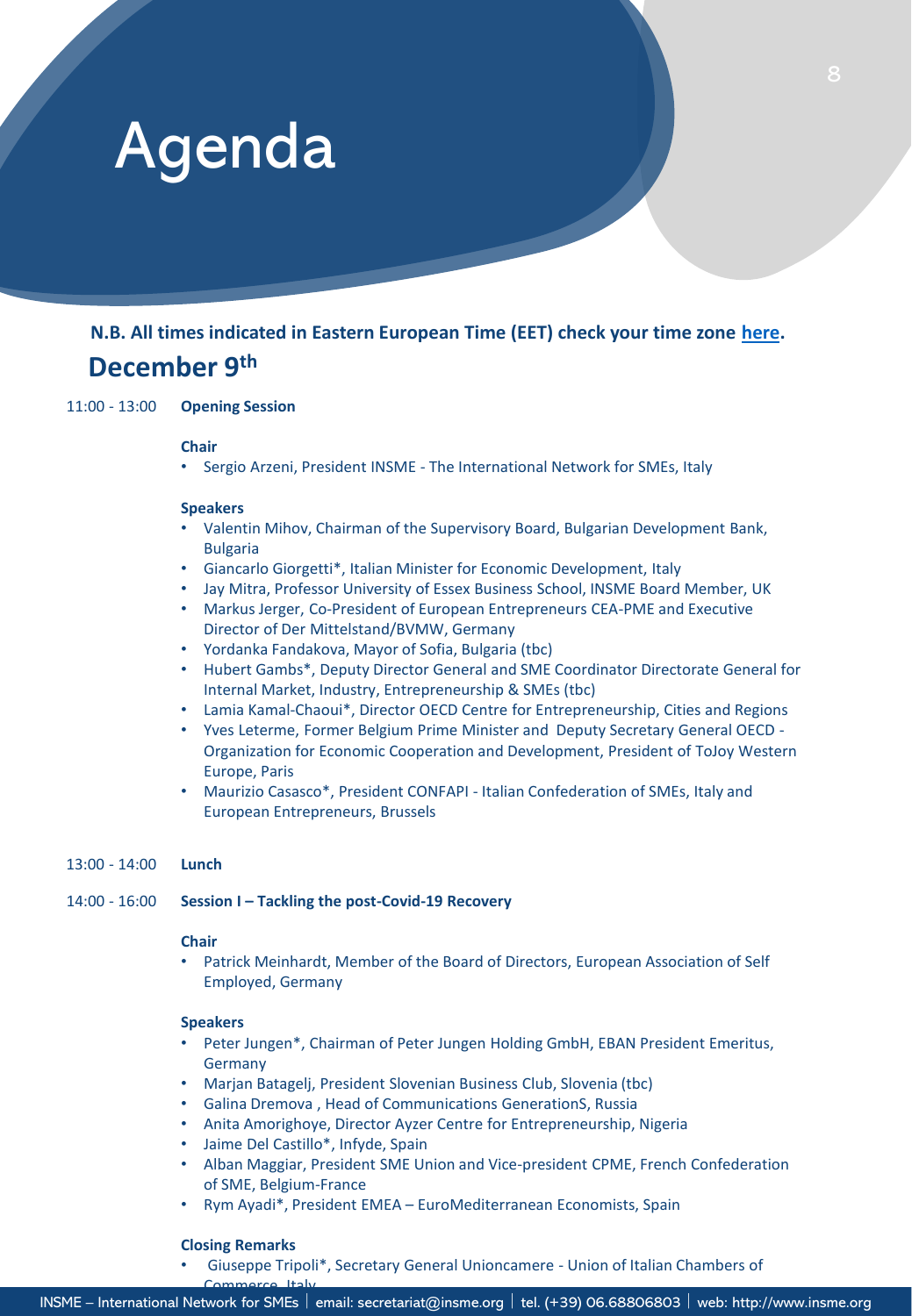# Agenda

## **December 9th N.B. All times indicated in Eastern European Time (EET) check your time zone [here](https://www.timeanddate.com/worldclock/converter.html?iso=20211118T160000&p1=238&p2=215&p3=166&p4=136).**

11:00 - 13:00 **Opening Session** 

#### **Chair**

• Sergio Arzeni, President INSME - The International Network for SMEs, Italy

#### **Speakers**

- Valentin Mihov, Chairman of the Supervisory Board, Bulgarian Development Bank, Bulgaria
- Giancarlo Giorgetti\*, Italian Minister for Economic Development, Italy
- Jay Mitra, Professor University of Essex Business School, INSME Board Member, UK
- Markus Jerger, Co-President of European Entrepreneurs CEA-PME and Executive Director of Der Mittelstand/BVMW, Germany
- Yordanka Fandakova, Mayor of Sofia, Bulgaria (tbc)
- Hubert Gambs\*, Deputy Director General and SME Coordinator Directorate General for Internal Market, Industry, Entrepreneurship & SMEs (tbc)
- Lamia Kamal-Chaoui\*, Director OECD Centre for Entrepreneurship, Cities and Regions
- Yves Leterme, Former Belgium Prime Minister and Deputy Secretary General OECD Organization for Economic Cooperation and Development, President of ToJoy Western Europe, Paris
- Maurizio Casasco\*, President CONFAPI Italian Confederation of SMEs, Italy and European Entrepreneurs, Brussels

#### 13:00 - 14:00 **Lunch**

14:00 - 16:00 **Session I – Tackling the post-Covid-19 Recovery** 

#### **Chair**

• Patrick Meinhardt, Member of the Board of Directors, European Association of Self Employed, Germany

#### **Speakers**

- Peter Jungen\*, Chairman of Peter Jungen Holding GmbH, EBAN President Emeritus, Germany
- Marjan Batagelj, President Slovenian Business Club, Slovenia (tbc)
- Galina Dremova , Head of Communications GenerationS, Russia
- Anita Amorighoye, Director Ayzer Centre for Entrepreneurship, Nigeria
- Jaime Del Castillo\*, Infyde, Spain
- Alban Maggiar, President SME Union and Vice-president CPME, French Confederation of SME, Belgium-France
- Rym Ayadi\*, President EMEA EuroMediterranean Economists, Spain

#### **Closing Remarks**

Commerce, Italy

• Giuseppe Tripoli\*, Secretary General Unioncamere - Union of Italian Chambers of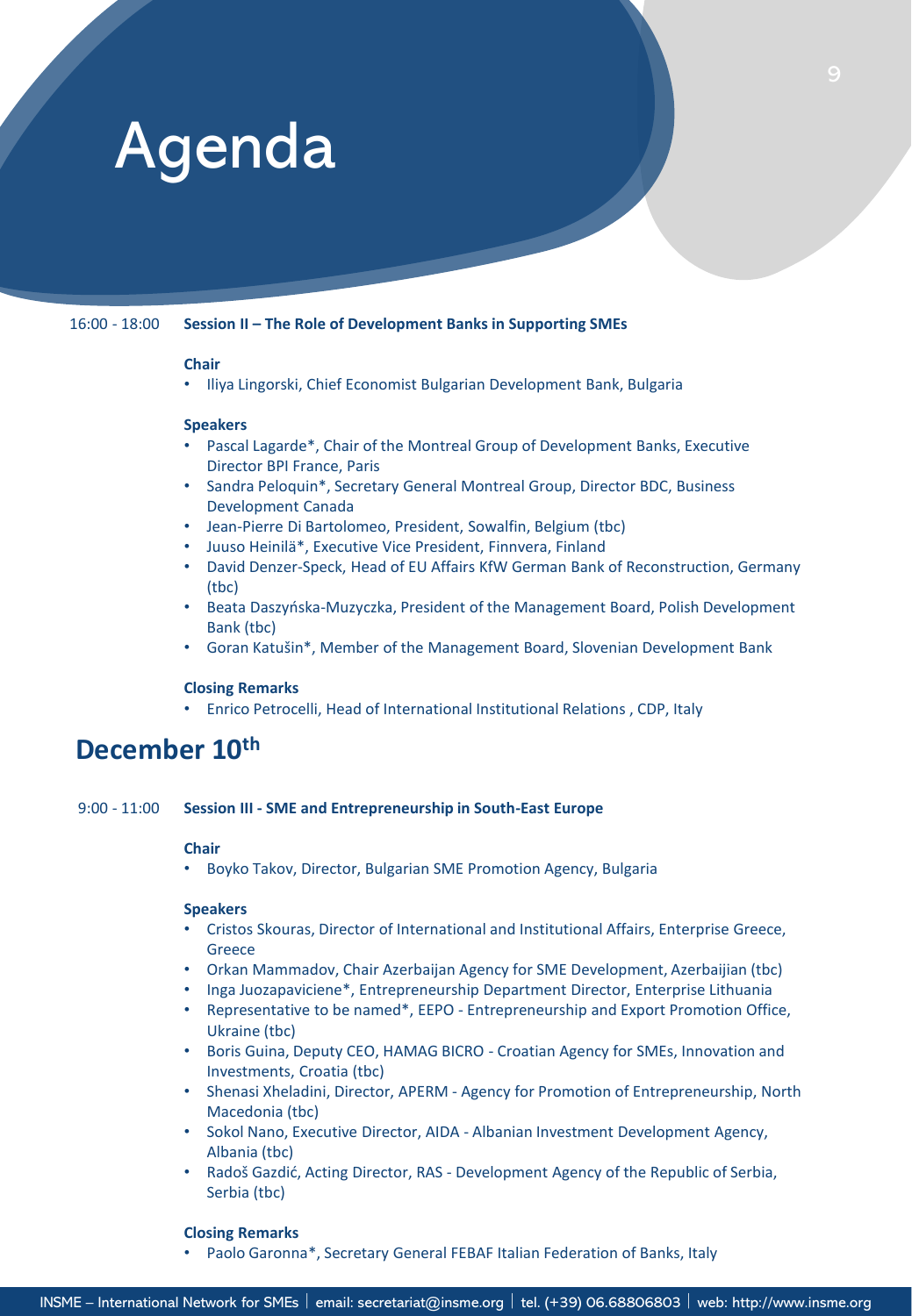# Agenda

16:00 - 18:00 **Session II – The Role of Development Banks in Supporting SMEs** 

#### **Chair**

• Iliya Lingorski, Chief Economist Bulgarian Development Bank, Bulgaria

#### **Speakers**

- Pascal Lagarde\*, Chair of the Montreal Group of Development Banks, Executive Director BPI France, Paris
- Sandra Peloquin\*, Secretary General Montreal Group, Director BDC, Business Development Canada
- Jean-Pierre Di Bartolomeo, President, Sowalfin, Belgium (tbc)
- Juuso Heinilä\*, Executive Vice President, Finnvera, Finland
- David Denzer-Speck, Head of EU Affairs KfW German Bank of Reconstruction, Germany (tbc)
- Beata Daszyńska-Muzyczka, President of the Management Board, Polish Development Bank (tbc)
- Goran Katušin\*, Member of the Management Board, Slovenian Development Bank

#### **Closing Remarks**

• Enrico Petrocelli, Head of International Institutional Relations , CDP, Italy

## **December 10th**

9:00 - 11:00 **Session III - SME and Entrepreneurship in South-East Europe**

#### **Chair**

• Boyko Takov, Director, Bulgarian SME Promotion Agency, Bulgaria

#### **Speakers**

- Cristos Skouras, Director of International and Institutional Affairs, Enterprise Greece, Greece
- Orkan Mammadov, Chair Azerbaijan Agency for SME Development, Azerbaijian (tbc)
- Inga Juozapaviciene\*, Entrepreneurship Department Director, Enterprise Lithuania
- Representative to be named\*, EEPO Entrepreneurship and Export Promotion Office, Ukraine (tbc)
- Boris Guina, Deputy CEO, HAMAG BICRO Croatian Agency for SMEs, Innovation and Investments, Croatia (tbc)
- Shenasi Xheladini, Director, APERM Agency for Promotion of Entrepreneurship, North Macedonia (tbc)
- Sokol Nano, Executive Director, AIDA Albanian Investment Development Agency, Albania (tbc)
- Radoš Gazdić, Acting Director, RAS Development Agency of the Republic of Serbia, Serbia (tbc)

#### **Closing Remarks**

• Paolo Garonna\*, Secretary General FEBAF Italian Federation of Banks, Italy